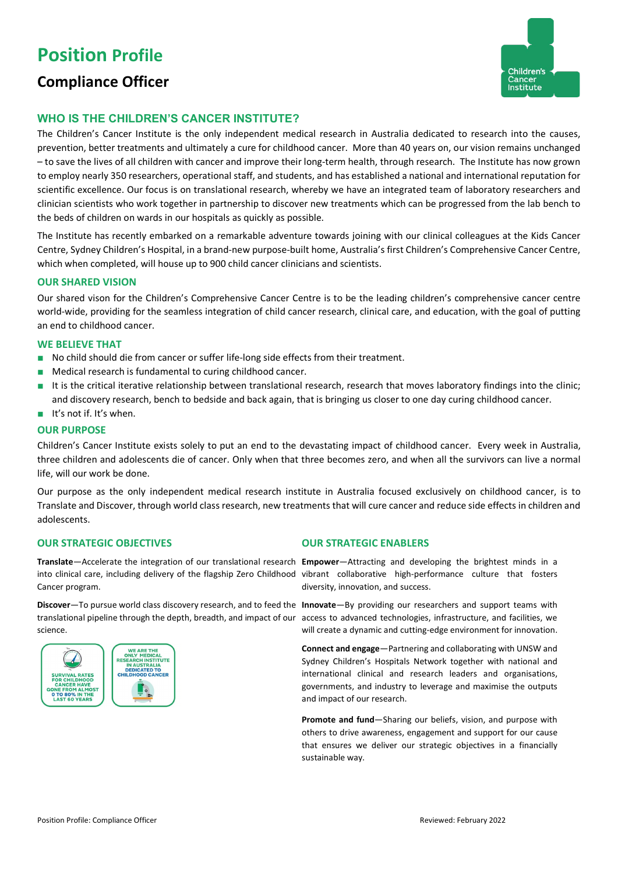# **Position Profile**

# **Compliance Officer**



# **WHO IS THE CHILDREN'S CANCER INSTITUTE?**

The Children's Cancer Institute is the only independent medical research in Australia dedicated to research into the causes, prevention, better treatments and ultimately a cure for childhood cancer. More than 40 years on, our vision remains unchanged – to save the lives of all children with cancer and improve their long-term health, through research. The Institute has now grown to employ nearly 350 researchers, operational staff, and students, and has established a national and international reputation for scientific excellence. Our focus is on translational research, whereby we have an integrated team of laboratory researchers and clinician scientists who work together in partnership to discover new treatments which can be progressed from the lab bench to the beds of children on wards in our hospitals as quickly as possible.

The Institute has recently embarked on a remarkable adventure towards joining with our clinical colleagues at the Kids Cancer Centre, Sydney Children's Hospital, in a brand-new purpose-built home, Australia's first Children's Comprehensive Cancer Centre, which when completed, will house up to 900 child cancer clinicians and scientists.

### **OUR SHARED VISION**

Our shared vison for the Children's Comprehensive Cancer Centre is to be the leading children's comprehensive cancer centre world-wide, providing for the seamless integration of child cancer research, clinical care, and education, with the goal of putting an end to childhood cancer.

### **WE BELIEVE THAT**

- No child should die from cancer or suffer life-long side effects from their treatment.
- Medical research is fundamental to curing childhood cancer.
- It is the critical iterative relationship between translational research, research that moves laboratory findings into the clinic; and discovery research, bench to bedside and back again, that is bringing us closer to one day curing childhood cancer.
- It's not if. It's when.

### **OUR PURPOSE**

Children's Cancer Institute exists solely to put an end to the devastating impact of childhood cancer. Every week in Australia, three children and adolescents die of cancer. Only when that three becomes zero, and when all the survivors can live a normal life, will our work be done.

Our purpose as the only independent medical research institute in Australia focused exclusively on childhood cancer, is to Translate and Discover, through world class research, new treatments that will cure cancer and reduce side effects in children and adolescents.

## **OUR STRATEGIC OBJECTIVES OUR STRATEGIC ENABLERS**

**Translate**—Accelerate the integration of our translational research **Empower**—Attracting and developing the brightest minds in a into clinical care, including delivery of the flagship Zero Childhood vibrant collaborative high-performance culture that fosters Cancer program.

**Discover**—To pursue world class discovery research, and to feed the **Innovate**—By providing our researchers and support teams with translational pipeline through the depth, breadth, and impact of our access to advanced technologies, infrastructure, and facilities, we science.



diversity, innovation, and success.

will create a dynamic and cutting-edge environment for innovation.

**Connect and engage**—Partnering and collaborating with UNSW and Sydney Children's Hospitals Network together with national and international clinical and research leaders and organisations, governments, and industry to leverage and maximise the outputs and impact of our research.

**Promote and fund**—Sharing our beliefs, vision, and purpose with others to drive awareness, engagement and support for our cause that ensures we deliver our strategic objectives in a financially sustainable way.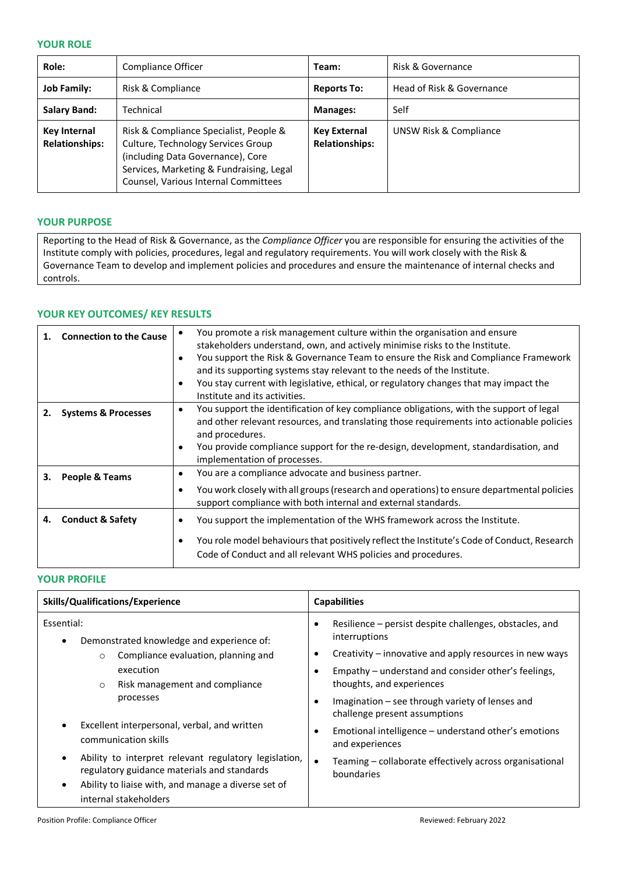### **YOUR ROLE**

| Role:                                        | Compliance Officer                                                                                                                                                                                    | Team:                                        | Risk & Governance         |
|----------------------------------------------|-------------------------------------------------------------------------------------------------------------------------------------------------------------------------------------------------------|----------------------------------------------|---------------------------|
| <b>Job Family:</b>                           | Risk & Compliance                                                                                                                                                                                     | <b>Reports To:</b>                           | Head of Risk & Governance |
| <b>Salary Band:</b>                          | Technical                                                                                                                                                                                             | <b>Manages:</b>                              | Self                      |
| <b>Key Internal</b><br><b>Relationships:</b> | Risk & Compliance Specialist, People &<br>Culture, Technology Services Group<br>(including Data Governance), Core<br>Services, Marketing & Fundraising, Legal<br>Counsel, Various Internal Committees | <b>Key External</b><br><b>Relationships:</b> | UNSW Risk & Compliance    |

# **YOUR PURPOSE**

Reporting to the Head of Risk & Governance, as the *Compliance Officer* you are responsible for ensuring the activities of the Institute comply with policies, procedures, legal and regulatory requirements. You will work closely with the Risk & Governance Team to develop and implement policies and procedures and ensure the maintenance of internal checks and controls.

# **YOUR KEY OUTCOMES/ KEY RESULTS**

|    | <b>Connection to the Cause</b> |           | You promote a risk management culture within the organisation and ensure                    |
|----|--------------------------------|-----------|---------------------------------------------------------------------------------------------|
|    |                                |           | stakeholders understand, own, and actively minimise risks to the Institute.                 |
|    |                                |           | You support the Risk & Governance Team to ensure the Risk and Compliance Framework          |
|    |                                |           | and its supporting systems stay relevant to the needs of the Institute.                     |
|    |                                |           | You stay current with legislative, ethical, or regulatory changes that may impact the       |
|    |                                |           | Institute and its activities.                                                               |
|    | <b>Systems &amp; Processes</b> | $\bullet$ | You support the identification of key compliance obligations, with the support of legal     |
|    |                                |           | and other relevant resources, and translating those requirements into actionable policies   |
|    |                                |           | and procedures.                                                                             |
|    |                                | $\bullet$ | You provide compliance support for the re-design, development, standardisation, and         |
|    |                                |           | implementation of processes.                                                                |
| З. | People & Teams                 | ٠         | You are a compliance advocate and business partner.                                         |
|    |                                |           | You work closely with all groups (research and operations) to ensure departmental policies  |
|    |                                |           | support compliance with both internal and external standards.                               |
| 4. | <b>Conduct &amp; Safety</b>    |           | You support the implementation of the WHS framework across the Institute.                   |
|    |                                |           |                                                                                             |
|    |                                |           | You role model behaviours that positively reflect the Institute's Code of Conduct, Research |
|    |                                |           | Code of Conduct and all relevant WHS policies and procedures.                               |
|    |                                |           |                                                                                             |

### **YOUR PROFILE**

| <b>Skills/Qualifications/Experience</b>                                                                                                                                               | <b>Capabilities</b>                                                                |  |
|---------------------------------------------------------------------------------------------------------------------------------------------------------------------------------------|------------------------------------------------------------------------------------|--|
| Essential:<br>Demonstrated knowledge and experience of:<br>$\bullet$                                                                                                                  | Resilience – persist despite challenges, obstacles, and<br>interruptions           |  |
| Compliance evaluation, planning and<br>$\circ$                                                                                                                                        | Creativity – innovative and apply resources in new ways                            |  |
| execution<br>Risk management and compliance<br>$\circ$                                                                                                                                | Empathy - understand and consider other's feelings,<br>thoughts, and experiences   |  |
| processes                                                                                                                                                                             | Imagination – see through variety of lenses and<br>challenge present assumptions   |  |
| Excellent interpersonal, verbal, and written<br>communication skills                                                                                                                  | Emotional intelligence – understand other's emotions<br>and experiences            |  |
| Ability to interpret relevant regulatory legislation,<br>$\bullet$<br>regulatory guidance materials and standards<br>Ability to liaise with, and manage a diverse set of<br>$\bullet$ | Teaming – collaborate effectively across organisational<br>$\bullet$<br>boundaries |  |
| internal stakeholders                                                                                                                                                                 |                                                                                    |  |